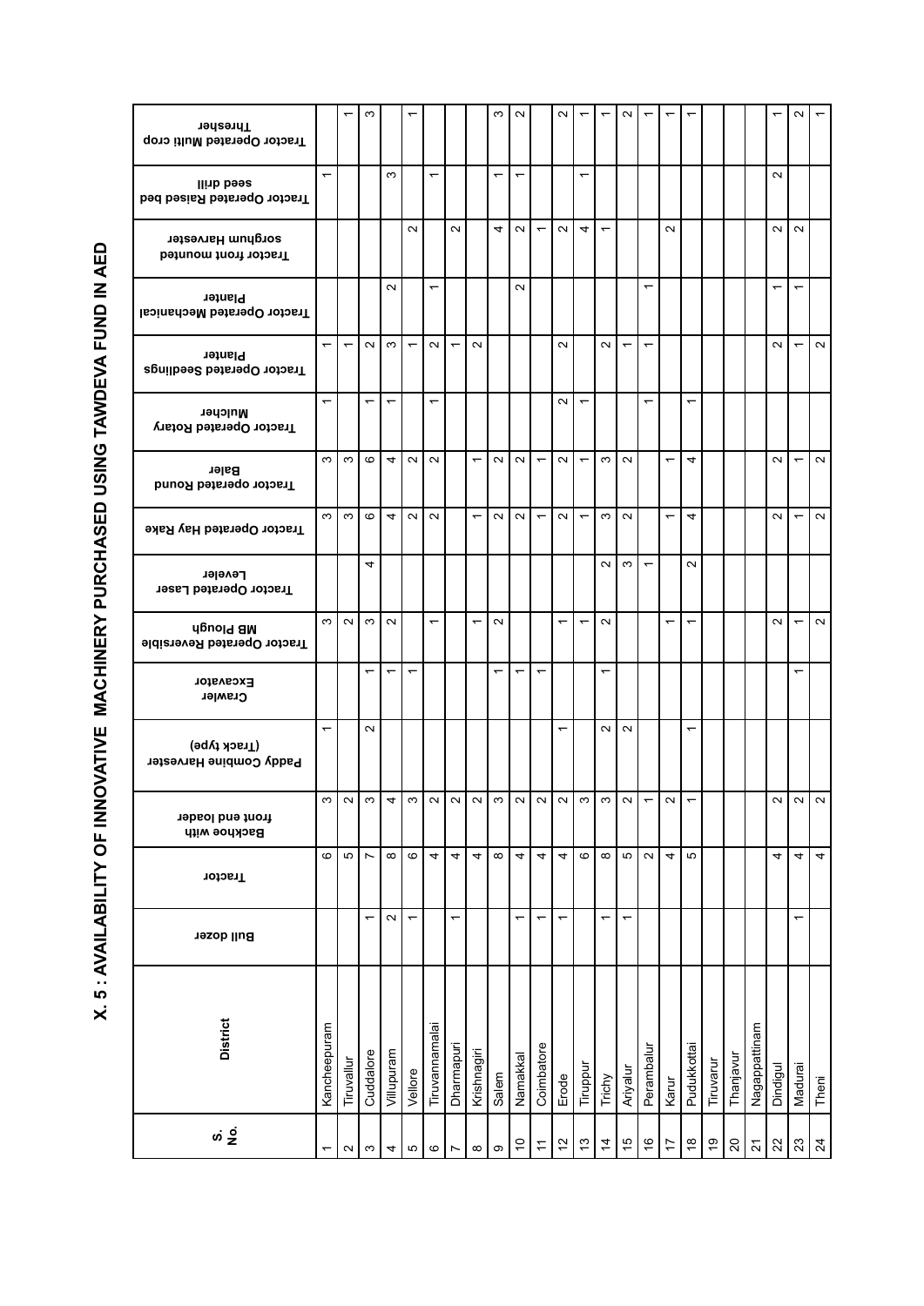| : ^^^ ABII ABII TY OF INNOVATIVE MACHNERY BIJNOVATIVE MACHNERY THRID IN AFR |
|-----------------------------------------------------------------------------|
|                                                                             |
|                                                                             |
|                                                                             |
|                                                                             |
|                                                                             |
|                                                                             |
|                                                                             |
|                                                                             |
|                                                                             |
|                                                                             |
|                                                                             |
|                                                                             |
|                                                                             |
|                                                                             |
|                                                                             |
|                                                                             |
|                                                                             |
|                                                                             |
|                                                                             |
|                                                                             |
|                                                                             |
|                                                                             |
|                                                                             |
|                                                                             |
|                                                                             |
|                                                                             |
|                                                                             |
|                                                                             |
|                                                                             |
|                                                                             |
|                                                                             |
|                                                                             |
|                                                                             |
|                                                                             |
|                                                                             |
|                                                                             |
|                                                                             |
|                                                                             |
|                                                                             |
|                                                                             |
|                                                                             |
| $\ddot{\phantom{0}}$                                                        |
|                                                                             |

| Thresher<br>Tractor Operated Multi crop                |                          | ٣                        | S                        |                          |                          |                          |                          |                          | $\infty$                 | $\sim$                   |                          | $\sim$                   |                          |                          | $\sim$        |                          |                          |                          |               |                 |                       |          | $\sim$                   |                |
|--------------------------------------------------------|--------------------------|--------------------------|--------------------------|--------------------------|--------------------------|--------------------------|--------------------------|--------------------------|--------------------------|--------------------------|--------------------------|--------------------------|--------------------------|--------------------------|---------------|--------------------------|--------------------------|--------------------------|---------------|-----------------|-----------------------|----------|--------------------------|----------------|
| llinb bees<br>Tractor Operated Raised bed              | $\overline{\phantom{0}}$ |                          |                          | S                        |                          |                          |                          |                          |                          | $\overline{\phantom{0}}$ |                          |                          | ٣                        |                          |               |                          |                          |                          |               |                 |                       | $\sim$   |                          |                |
| sorghum Harvester<br>Tractor front mounted             |                          |                          |                          |                          | $\sim$                   |                          | $\sim$                   |                          | 4                        | $\sim$                   | $\overline{\phantom{0}}$ | $\sim$                   | 4                        | $\overline{\phantom{0}}$ |               |                          | $\sim$                   |                          |               |                 |                       | $\sim$   | $\sim$                   |                |
| Planter<br>Tractor Operated Mechanical                 |                          |                          |                          | $\sim$                   |                          | $\overline{\phantom{0}}$ |                          |                          |                          | $\sim$                   |                          |                          |                          |                          |               | ᠇                        |                          |                          |               |                 |                       | ᠇        | ᡪ                        |                |
| <b>Planter</b><br>Tractor Operated Seedlings           | $\overline{\phantom{0}}$ | $\overline{\phantom{0}}$ | $\sim$                   | S                        | $\overline{ }$           | $\sim$                   |                          | $\sim$                   |                          |                          |                          | $\sim$                   |                          | $\sim$                   |               | ٣                        |                          |                          |               |                 |                       | $\sim$   |                          | $\sim$         |
| Mulcher<br>Tractor Operated Rotary                     | $\overline{\phantom{0}}$ |                          | $\overline{ }$           | $\overline{\phantom{0}}$ |                          | $\overline{\phantom{0}}$ |                          |                          |                          |                          |                          | $\sim$                   | $\overline{\phantom{0}}$ |                          |               | ↽                        |                          | $\overline{ }$           |               |                 |                       |          |                          |                |
| Baler<br>Tractor operated Round                        | S                        | $\infty$                 | $\circ$                  | 4                        | $\sim$ 1                 | $\sim$                   |                          | $\overline{\phantom{0}}$ | $\sim$                   | $\sim$                   | $\overline{\phantom{0}}$ | $\sim$                   | $\overline{\phantom{0}}$ | $\infty$                 | $\sim$        |                          | $\overline{\phantom{0}}$ | 4                        |               |                 |                       | $\sim$   | $\overline{\phantom{0}}$ | $\sim$         |
| Tractor Operated Hay Rake                              | S                        | $\infty$                 | $\circ$                  | 4                        | $\sim$ 1                 | $\sim$                   |                          | $\overline{\phantom{0}}$ | $\sim$                   | $\sim$                   | $\overline{\phantom{0}}$ | $\sim$                   | $\overline{\phantom{0}}$ | S                        | $\sim$        |                          | $\overline{\phantom{0}}$ | 4                        |               |                 |                       | $\sim$   | $\overline{\phantom{0}}$ | $\sim$         |
| Leveler<br>Tractor Operated Laser                      |                          |                          | 4                        |                          |                          |                          |                          |                          |                          |                          |                          |                          |                          | $\sim$                   | $\sim$        | $\overline{\phantom{0}}$ |                          | $\sim$                   |               |                 |                       |          |                          |                |
| <b>Upuold am</b><br><b>Tractor Operated Reversible</b> | S                        | $\sim$                   | $\infty$                 | $\sim$                   |                          | ᠇                        |                          | $\overline{\phantom{0}}$ | $\sim$                   |                          |                          | ᠇                        | ᠇                        | $\sim$                   |               |                          | ٣                        | $\overline{\phantom{0}}$ |               |                 |                       | $\sim$   | $\overline{\phantom{0}}$ | $\sim$         |
| <b>Excavator</b><br>Crawler                            |                          |                          | $\overline{\phantom{0}}$ |                          | ٣                        |                          |                          |                          | $\overline{\phantom{0}}$ | $\overline{\phantom{0}}$ | ٣                        |                          |                          | ٣                        |               |                          |                          |                          |               |                 |                       |          |                          |                |
| (Frack type)<br>Paddy Combine Harvester                | $\overline{\phantom{0}}$ |                          | $\sim$                   |                          |                          |                          |                          |                          |                          |                          |                          |                          |                          | $\sim$                   | $\sim$        |                          |                          | $\overline{\phantom{0}}$ |               |                 |                       |          |                          |                |
| front end loader<br><b>Backhoe with</b>                | ო                        | $\sim$                   | ო                        | 4                        | ო                        | $\sim$                   | $\sim$                   | $\sim$                   | ო                        | $\sim$                   | N                        | $\sim$                   | ო                        | ო                        | $\sim$        |                          | $\sim$                   |                          |               |                 |                       | $\sim$   | $\sim$                   | $\sim$         |
| Tractor                                                | ဖ                        | Б                        | $\overline{ }$           | $\infty$                 | $\mathbf{\circ}$         | 4                        | 4                        | 4                        | $\infty$                 | 4                        | 4                        | 4                        | $\mathbf \Omega$         | $\infty$                 | Б             | $\sim$                   | 4                        | Б                        |               |                 |                       | 4        | 4                        | 4              |
| <b>Bull dozer</b>                                      |                          |                          | $\overline{\phantom{0}}$ | $\sim$                   | $\overline{\phantom{0}}$ |                          | $\overline{\phantom{0}}$ |                          |                          | $\overline{\phantom{0}}$ | $\overline{\phantom{0}}$ | $\overline{\phantom{0}}$ |                          | $\overline{ }$           |               |                          |                          |                          |               |                 |                       |          |                          |                |
| <b>District</b>                                        | Kancheepuram             | Tiruvallu                | Cuddalore                | Villupuram               | Vellore                  | Tiruvannamalai           | Dharmapuri               | Krishnagiri              | Salem                    | Namakkal                 | Coimbatore               | Erode                    | Tiruppur                 | Trichy                   | Ariyalur      | Perambalur               | Karur                    | Pudukkottai              | Tiruvarur     | Thanjavur       | Nagappattinam         | Dindigul | Madurai                  | Theni          |
|                                                        |                          | $\sim$                   | S                        | 4                        | ъ                        | $\pmb{\circ}$            | Ľ                        | $\infty$                 | σ                        | $\tilde{c}$              | $\tilde{\tau}$           | $\tilde{c}$              | $\frac{3}{2}$            | $\overline{4}$           | $\frac{1}{2}$ | $\frac{6}{5}$            | 17                       | $\frac{8}{1}$            | $\frac{6}{5}$ | $\overline{20}$ | $\tilde{\mathcal{L}}$ | 22       | 23                       | $\overline{2}$ |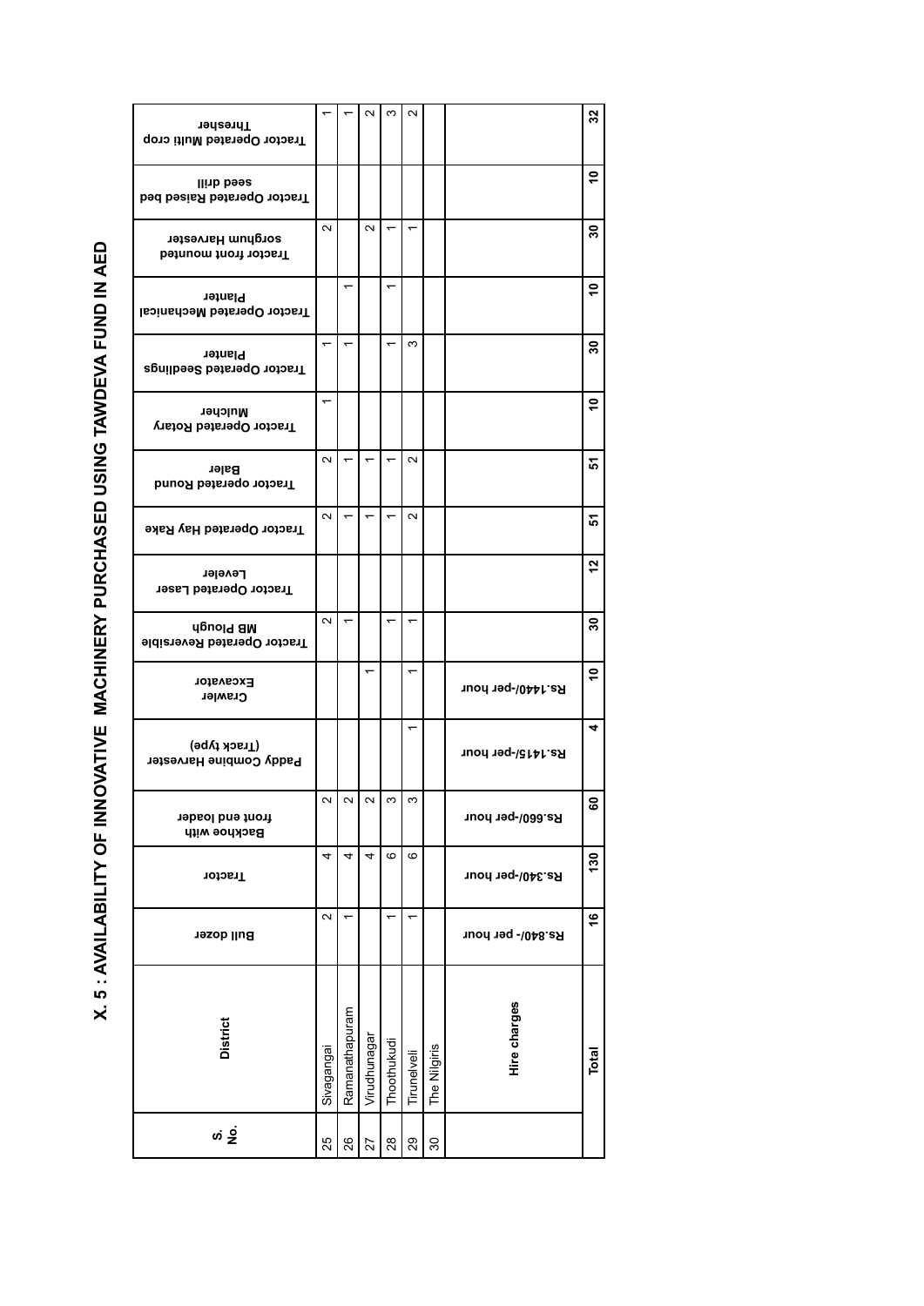| <u> </u>                              |
|---------------------------------------|
|                                       |
|                                       |
|                                       |
|                                       |
|                                       |
|                                       |
|                                       |
|                                       |
|                                       |
|                                       |
|                                       |
|                                       |
|                                       |
|                                       |
|                                       |
| <b>A SECRET CONTROLLER CONTROLLER</b> |
|                                       |
|                                       |
|                                       |
|                                       |
| <br> -<br> -<br> -                    |
|                                       |
|                                       |
|                                       |
|                                       |
|                                       |
|                                       |
|                                       |
|                                       |
|                                       |
|                                       |
|                                       |
|                                       |
|                                       |
|                                       |
|                                       |
|                                       |
| $\frac{1}{2}$                         |
|                                       |

| Thresher<br>Tractor Operated Multi crop         |            |                | $\sim$                   | S           | $\sim$                   |              |                   | $32\,$            |
|-------------------------------------------------|------------|----------------|--------------------------|-------------|--------------------------|--------------|-------------------|-------------------|
| llinb bees<br>Tractor Operated Raised bed       |            |                |                          |             |                          |              |                   | ٥,                |
| sorghum Harvester<br>Tractor front mounted      | $\sim$     |                | $\sim$                   |             | ٣                        |              |                   | $\boldsymbol{50}$ |
| Planter<br>Tractor Operated Mechanical          |            |                |                          |             |                          |              |                   | ő                 |
| <b>Planter</b><br>Tractor Operated Seedlings    |            |                |                          |             | ო                        |              |                   | 30                |
| Mulcher<br>Tractor Operated Rotary              | ↽          |                |                          |             |                          |              |                   | $\frac{1}{2}$     |
| Baler<br><b>Tractor operated Round</b>          | $\sim$     |                |                          |             | $\sim$                   |              |                   | 5                 |
| Tractor Operated Hay Rake                       | $\sim$     |                |                          |             | $\sim$                   |              |                   | 꼬                 |
| Leveler<br><b>Tractor Operated Laser</b>        |            |                |                          |             |                          |              |                   | 57                |
| <b>AB</b> Plough<br>Fractor Operated Reversible | $\sim$     |                |                          |             |                          |              |                   | $\boldsymbol{50}$ |
| Excavator<br>Crawler                            |            |                | $\overline{\phantom{0}}$ |             | $\overline{\phantom{0}}$ |              | Rs.1440/-per hour | ٥Ļ                |
| (Hrack type)<br>Paddy Combine Harvester         |            |                |                          |             | $\overline{\phantom{0}}$ |              | Rs.1415/-per hour | 4                 |
| front end loader<br><b>Backhoe with</b>         | N          | $\sim$         | $\sim$                   | ო           | ო                        |              | Rs.660/-per hour  | 8                 |
| Tractor                                         | 4          | 4              | 4                        | ဖ           | ဖ                        |              | Rs.340/-per hour  | 130               |
| Bull dozer                                      | $\sim$     |                |                          |             |                          |              | Rs.840/- per hour | $\frac{6}{5}$     |
| <b>District</b>                                 | Sivagangai | Ramanathapuram | Virudhunagar             | Thoothukudi | Tirunelveli              | The Nilgiris | Hire charges      | Total             |
|                                                 | 25         | 26             | 27                       | 28          | 29                       | 30           |                   |                   |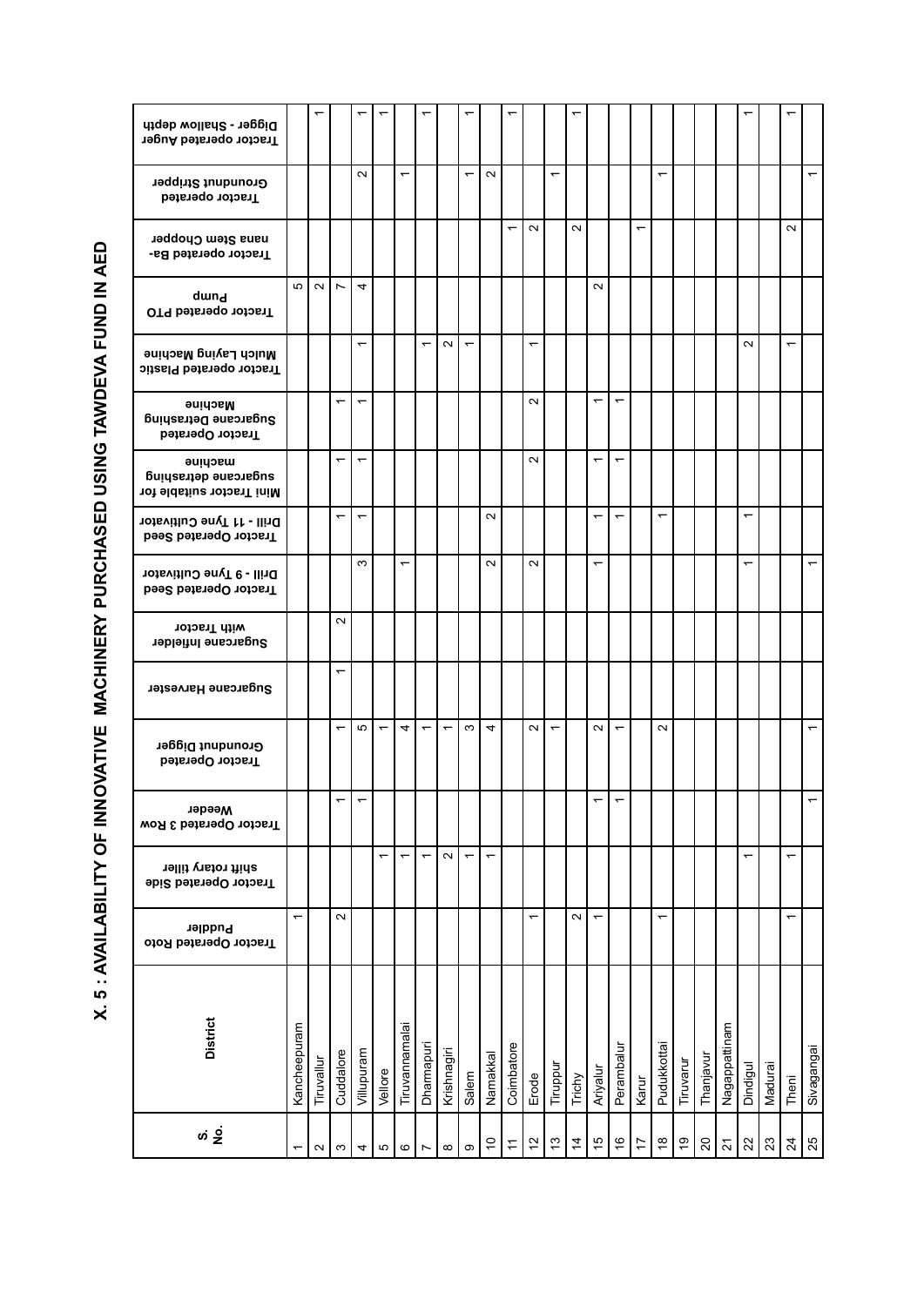| Digger - Shallow depth<br>Tractor operated Auger             |              |            |                          |                          |                          |                          |                          |             |                          |                          |                          |                          |                          |                |                          |                          |                          |                                |          |                |                          |                          |         |                          |                          |
|--------------------------------------------------------------|--------------|------------|--------------------------|--------------------------|--------------------------|--------------------------|--------------------------|-------------|--------------------------|--------------------------|--------------------------|--------------------------|--------------------------|----------------|--------------------------|--------------------------|--------------------------|--------------------------------|----------|----------------|--------------------------|--------------------------|---------|--------------------------|--------------------------|
| <b>Groundnut Stripper</b><br>Tractor operated                |              |            |                          | $\sim$                   |                          | $\overline{\phantom{0}}$ |                          |             | $\overline{\phantom{0}}$ | $\sim$                   |                          |                          | $\overline{ }$           |                |                          |                          |                          | $\overline{\phantom{0}}$       |          |                |                          |                          |         |                          | $\overline{\phantom{0}}$ |
| nana Stem Chopper<br>Tractor operated Ba-                    |              |            |                          |                          |                          |                          |                          |             |                          |                          | $\overline{\phantom{0}}$ | $\sim$                   |                          | $\sim$         |                          |                          | $\overline{\phantom{0}}$ |                                |          |                |                          |                          |         | $\sim$                   |                          |
| dwnd<br><b>OT9 betared PTO</b>                               | Ю            | $\sim$     | $\overline{\phantom{a}}$ | 4                        |                          |                          |                          |             |                          |                          |                          |                          |                          |                | $\sim$                   |                          |                          |                                |          |                |                          |                          |         |                          |                          |
| Mulch Laying Machine<br>Tractor operated Plastic             |              |            |                          | $\overline{ }$           |                          |                          | $\overline{\phantom{0}}$ | $\sim$      | $\overline{ }$           |                          |                          | $\overline{\phantom{0}}$ |                          |                |                          |                          |                          |                                |          |                |                          | $\sim$                   |         | $\overline{\phantom{0}}$ |                          |
| Machine<br>Sugarcane Detrashing<br>Tractor Operated          |              |            | $\overline{\phantom{0}}$ | $\overline{\phantom{0}}$ |                          |                          |                          |             |                          |                          |                          | $\sim$                   |                          |                | $\overline{\phantom{0}}$ | $\overline{\phantom{0}}$ |                          |                                |          |                |                          |                          |         |                          |                          |
| macµine<br>sugarcane qetrashing<br>Mini Tractor suitable for |              |            | ↽                        | $\overline{\phantom{0}}$ |                          |                          |                          |             |                          |                          |                          | $\sim$                   |                          |                | ᡪ                        | ↽                        |                          |                                |          |                |                          |                          |         |                          |                          |
| Drill - 11 Tyne Cultivator<br>Tractor Operated Seed          |              |            | $\overline{\phantom{0}}$ | $\overline{\phantom{0}}$ |                          |                          |                          |             |                          | $\sim$                   |                          |                          |                          |                | ↽                        | $\overline{\phantom{0}}$ |                          | ↽                              |          |                |                          | $\overline{\phantom{0}}$ |         |                          |                          |
| Drill - 9 Tyne Cultivator<br>Tractor Operated Seed           |              |            |                          | S                        |                          | $\overline{\phantom{0}}$ |                          |             |                          | $\sim$                   |                          | $\sim$                   |                          |                | ٣                        |                          |                          |                                |          |                |                          | ᡪ                        |         |                          | $\overline{\phantom{0}}$ |
| with Tractor<br>Sugarcane Infielder                          |              |            | $\sim$                   |                          |                          |                          |                          |             |                          |                          |                          |                          |                          |                |                          |                          |                          |                                |          |                |                          |                          |         |                          |                          |
| Sugarcane Harvester                                          |              |            | $\overline{\phantom{0}}$ |                          |                          |                          |                          |             |                          |                          |                          |                          |                          |                |                          |                          |                          |                                |          |                |                          |                          |         |                          |                          |
| Groundnut Digger<br>Tractor Operated                         |              |            | $\overline{\phantom{0}}$ | 5                        | $\overline{\phantom{0}}$ | 4                        | ٣                        |             | S                        | 4                        |                          | $\sim$                   | $\overline{\phantom{0}}$ |                | $\sim$                   | $\overline{\phantom{0}}$ |                          | $\sim$                         |          |                |                          |                          |         |                          |                          |
| Weeder<br>Tractor Operated 3 Row                             |              |            |                          |                          |                          |                          |                          |             |                          |                          |                          |                          |                          |                |                          |                          |                          |                                |          |                |                          |                          |         |                          |                          |
| shift rotary tiller<br>Tractor Operated Side                 |              |            |                          |                          |                          | $\overline{\phantom{0}}$ | $\overline{\phantom{0}}$ | $\sim$      | $\overline{\phantom{m}}$ | $\overline{\phantom{0}}$ |                          |                          |                          |                |                          |                          |                          |                                |          |                |                          |                          |         | $\overline{ }$           |                          |
| Puddler<br>Tractor Operated Roto                             | ٣            |            | $\sim$                   |                          |                          |                          |                          |             |                          |                          |                          |                          |                          | $\sim$         | ↽                        |                          |                          | ᡪ                              |          |                |                          |                          |         | ↽                        |                          |
| <b>District</b>                                              | Kancheepuram | Tiruvallur | Cuddalore                | Villupuram               | Vellore                  | Tiruvannamalai           | Dharmapuri               | Krishnagiri | Salem                    | Namakkal                 | Coimbatore               | Erode                    | Tiruppur                 | Trichy         | Ariyalur                 | Perambalur               | Karur                    | Pudukkottai                    | Tiruvaru | Thanjavur      | Nagappattinam            | Dindigul                 | Madurai | Theni                    | Sivagangai               |
|                                                              |              | $\sim$     | S                        | 4                        | 5                        | $\circ$                  | $\overline{ }$           | $\infty$    | တ                        | $\tilde{c}$              | $\tilde{t}$              | 51                       | $\frac{3}{2}$            | $\overline{4}$ | 10                       | $\frac{6}{5}$            | $\ddot{ }$               | $\overset{\circ}{\rightarrow}$ | Ő,       | $\mathsf{S}^0$ | $\overline{\mathcal{S}}$ | S2                       | 23      | $\overline{24}$          | 25                       |